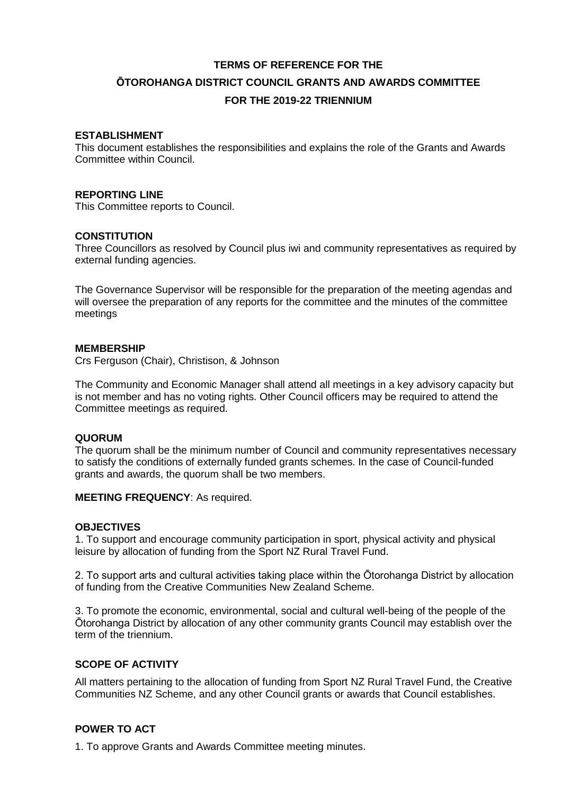# **TERMS OF REFERENCE FOR THE ŌTOROHANGA DISTRICT COUNCIL GRANTS AND AWARDS COMMITTEE FOR THE 2019-22 TRIENNIUM**

#### **ESTABLISHMENT**

This document establishes the responsibilities and explains the role of the Grants and Awards Committee within Council.

#### **REPORTING LINE**

This Committee reports to Council.

#### **CONSTITUTION**

Three Councillors as resolved by Council plus iwi and community representatives as required by external funding agencies.

The Governance Supervisor will be responsible for the preparation of the meeting agendas and will oversee the preparation of any reports for the committee and the minutes of the committee meetings

#### **MEMBERSHIP**

Crs Ferguson (Chair), Christison, & Johnson

The Community and Economic Manager shall attend all meetings in a key advisory capacity but is not member and has no voting rights. Other Council officers may be required to attend the Committee meetings as required.

#### **QUORUM**

The quorum shall be the minimum number of Council and community representatives necessary to satisfy the conditions of externally funded grants schemes. In the case of Council-funded grants and awards, the quorum shall be two members.

**MEETING FREQUENCY**: As required.

#### **OBJECTIVES**

1. To support and encourage community participation in sport, physical activity and physical leisure by allocation of funding from the Sport NZ Rural Travel Fund.

2. To support arts and cultural activities taking place within the Ōtorohanga District by allocation of funding from the Creative Communities New Zealand Scheme.

3. To promote the economic, environmental, social and cultural well-being of the people of the Ōtorohanga District by allocation of any other community grants Council may establish over the term of the triennium.

### **SCOPE OF ACTIVITY**

All matters pertaining to the allocation of funding from Sport NZ Rural Travel Fund, the Creative Communities NZ Scheme, and any other Council grants or awards that Council establishes.

## **POWER TO ACT**

1. To approve Grants and Awards Committee meeting minutes.